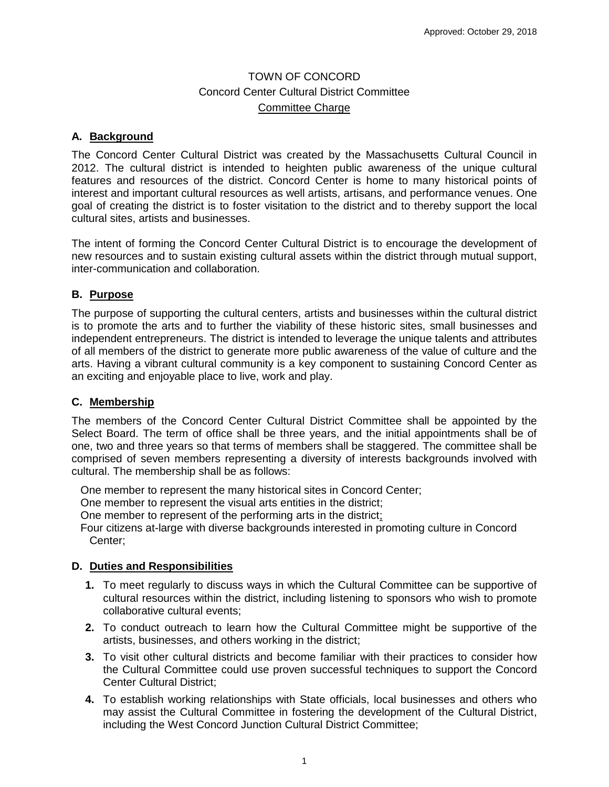# TOWN OF CONCORD Concord Center Cultural District Committee Committee Charge

## **A. Background**

The Concord Center Cultural District was created by the Massachusetts Cultural Council in 2012. The cultural district is intended to heighten public awareness of the unique cultural features and resources of the district. Concord Center is home to many historical points of interest and important cultural resources as well artists, artisans, and performance venues. One goal of creating the district is to foster visitation to the district and to thereby support the local cultural sites, artists and businesses.

The intent of forming the Concord Center Cultural District is to encourage the development of new resources and to sustain existing cultural assets within the district through mutual support, inter-communication and collaboration.

### **B. Purpose**

The purpose of supporting the cultural centers, artists and businesses within the cultural district is to promote the arts and to further the viability of these historic sites, small businesses and independent entrepreneurs. The district is intended to leverage the unique talents and attributes of all members of the district to generate more public awareness of the value of culture and the arts. Having a vibrant cultural community is a key component to sustaining Concord Center as an exciting and enjoyable place to live, work and play.

### **C. Membership**

The members of the Concord Center Cultural District Committee shall be appointed by the Select Board. The term of office shall be three years, and the initial appointments shall be of one, two and three years so that terms of members shall be staggered. The committee shall be comprised of seven members representing a diversity of interests backgrounds involved with cultural. The membership shall be as follows:

One member to represent the many historical sites in Concord Center;

One member to represent the visual arts entities in the district;

One member to represent of the performing arts in the district;

Four citizens at-large with diverse backgrounds interested in promoting culture in Concord Center;

### **D. Duties and Responsibilities**

- **1.** To meet regularly to discuss ways in which the Cultural Committee can be supportive of cultural resources within the district, including listening to sponsors who wish to promote collaborative cultural events;
- **2.** To conduct outreach to learn how the Cultural Committee might be supportive of the artists, businesses, and others working in the district;
- **3.** To visit other cultural districts and become familiar with their practices to consider how the Cultural Committee could use proven successful techniques to support the Concord Center Cultural District;
- **4.** To establish working relationships with State officials, local businesses and others who may assist the Cultural Committee in fostering the development of the Cultural District, including the West Concord Junction Cultural District Committee;